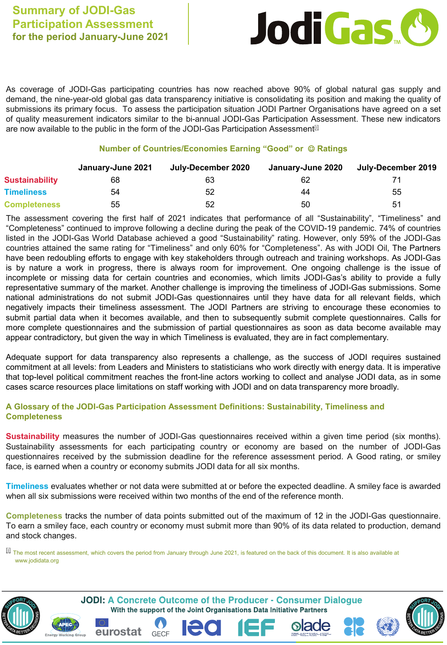

As coverage of JODI-Gas participating countries has now reached above 90% of global natural gas supply and demand, the nine-year-old global gas data transparency initiative is consolidating its position and making the quality of submissions its primary focus. To assess the participation situation JODI Partner Organisations have agreed on a set of quality measurement indicators similar to the bi-annual JODI-Gas Participation Assessment. These new indicators are now available to the public in the form of the JODI-Gas Participation Assessment $\mathbb{I}^{\mathbb{I}}$ 

## **Number of Countries/Economies Earning "Good" or Ratings**

|                     | January-June 2021 | July-December 2020 | January-June 2020 | July-December 2019 |
|---------------------|-------------------|--------------------|-------------------|--------------------|
| Sustainability      | 68                | 63                 | 62                |                    |
| <b>Timeliness</b>   | 54                | 52                 | 44                | 55                 |
| <b>Completeness</b> | 55                | 52                 | 50                | 51                 |

The assessment covering the first half of 2021 indicates that performance of all "Sustainability", "Timeliness" and "Completeness" continued to improve following a decline during the peak of the COVID-19 pandemic. 74% of countries listed in the JODI-Gas World Database achieved a good "Sustainability" rating. However, only 59% of the JODI-Gas countries attained the same rating for "Timeliness" and only 60% for "Completeness". As with JODI Oil, The Partners have been redoubling efforts to engage with key stakeholders through outreach and training workshops. As JODI-Gas is by nature a work in progress, there is always room for improvement. One ongoing challenge is the issue of incomplete or missing data for certain countries and economies, which limits JODI-Gas's ability to provide a fully representative summary of the market. Another challenge is improving the timeliness of JODI-Gas submissions. Some national administrations do not submit JODI-Gas questionnaires until they have data for all relevant fields, which negatively impacts their timeliness assessment. The JODI Partners are striving to encourage these economies to submit partial data when it becomes available, and then to subsequently submit complete questionnaires. Calls for more complete questionnaires and the submission of partial questionnaires as soon as data become available may appear contradictory, but given the way in which Timeliness is evaluated, they are in fact complementary.

Adequate support for data transparency also represents a challenge, as the success of JODI requires sustained commitment at all levels: from Leaders and Ministers to statisticians who work directly with energy data. It is imperative that top-level political commitment reaches the front-line actors working to collect and analyse JODI data, as in some cases scarce resources place limitations on staff working with JODI and on data transparency more broadly.

## **A Glossary of the JODI-Gas Participation Assessment Definitions: Sustainability, Timeliness and Completeness**

**Sustainability** measures the number of JODI-Gas questionnaires received within a given time period (six months). Sustainability assessments for each participating country or economy are based on the number of JODI-Gas questionnaires received by the submission deadline for the reference assessment period. A Good rating, or smiley face, is earned when a country or economy submits JODI data for all six months.

**Timeliness** evaluates whether or not data were submitted at or before the expected deadline. A smiley face is awarded when all six submissions were received within two months of the end of the reference month.

**Completeness** tracks the number of data points submitted out of the maximum of 12 in the JODI-Gas questionnaire. To earn a smiley face, each country or economy must submit more than 90% of its data related to production, demand and stock changes.

[i] The most recent assessment, which covers the period from January through June 2021, is featured on the back of this document. It is also available at www.jodidata.org